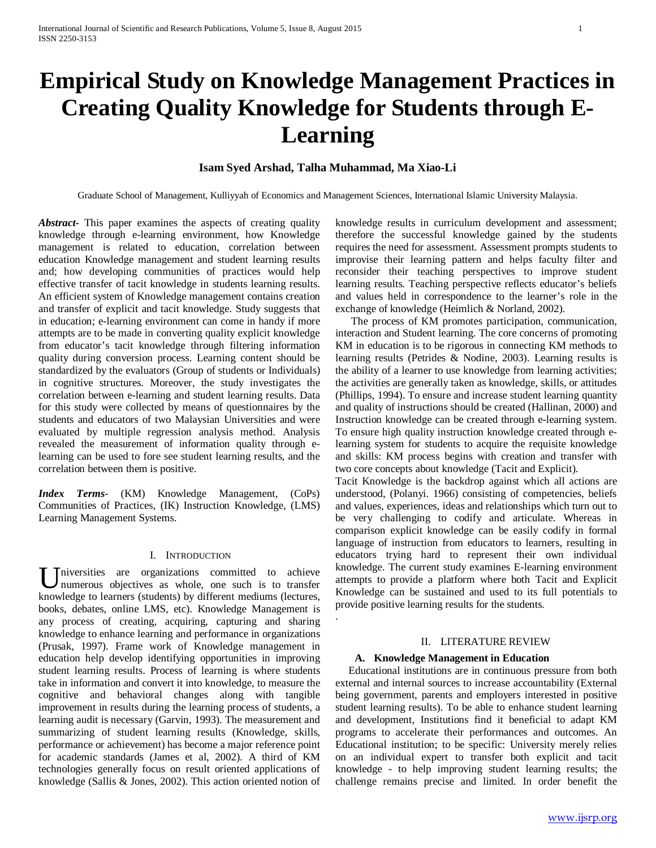# **Empirical Study on Knowledge Management Practices in Creating Quality Knowledge for Students through E-Learning**

## **Isam Syed Arshad, Talha Muhammad, Ma Xiao-Li**

Graduate School of Management, Kulliyyah of Economics and Management Sciences, International Islamic University Malaysia.

.

*Abstract***-** This paper examines the aspects of creating quality knowledge through e-learning environment, how Knowledge management is related to education, correlation between education Knowledge management and student learning results and; how developing communities of practices would help effective transfer of tacit knowledge in students learning results. An efficient system of Knowledge management contains creation and transfer of explicit and tacit knowledge. Study suggests that in education; e-learning environment can come in handy if more attempts are to be made in converting quality explicit knowledge from educator's tacit knowledge through filtering information quality during conversion process. Learning content should be standardized by the evaluators (Group of students or Individuals) in cognitive structures. Moreover, the study investigates the correlation between e-learning and student learning results. Data for this study were collected by means of questionnaires by the students and educators of two Malaysian Universities and were evaluated by multiple regression analysis method. Analysis revealed the measurement of information quality through elearning can be used to fore see student learning results, and the correlation between them is positive.

*Index Terms*- (KM) Knowledge Management, (CoPs) Communities of Practices, (IK) Instruction Knowledge, (LMS) Learning Management Systems.

### I. INTRODUCTION

niversities are organizations committed to achieve numerous objectives as whole, one such is to transfer Universities are organizations committed to achieve numerous objectives as whole, one such is to transfer knowledge to learners (students) by different mediums (lectures, books, debates, online LMS, etc). Knowledge Management is any process of creating, acquiring, capturing and sharing knowledge to enhance learning and performance in organizations (Prusak, 1997). Frame work of Knowledge management in education help develop identifying opportunities in improving student learning results. Process of learning is where students take in information and convert it into knowledge, to measure the cognitive and behavioral changes along with tangible improvement in results during the learning process of students, a learning audit is necessary (Garvin, 1993). The measurement and summarizing of student learning results (Knowledge, skills, performance or achievement) has become a major reference point for academic standards (James et al, 2002). A third of KM technologies generally focus on result oriented applications of knowledge (Sallis & Jones, 2002). This action oriented notion of

knowledge results in curriculum development and assessment; therefore the successful knowledge gained by the students requires the need for assessment. Assessment prompts students to improvise their learning pattern and helps faculty filter and reconsider their teaching perspectives to improve student learning results. Teaching perspective reflects educator's beliefs and values held in correspondence to the learner's role in the exchange of knowledge (Heimlich & Norland, 2002).

 The process of KM promotes participation, communication, interaction and Student learning. The core concerns of promoting KM in education is to be rigorous in connecting KM methods to learning results (Petrides & Nodine, 2003). Learning results is the ability of a learner to use knowledge from learning activities; the activities are generally taken as knowledge, skills, or attitudes (Phillips, 1994). To ensure and increase student learning quantity and quality of instructions should be created (Hallinan, 2000) and Instruction knowledge can be created through e-learning system. To ensure high quality instruction knowledge created through elearning system for students to acquire the requisite knowledge and skills: KM process begins with creation and transfer with two core concepts about knowledge (Tacit and Explicit).

Tacit Knowledge is the backdrop against which all actions are understood, (Polanyi. 1966) consisting of competencies, beliefs and values, experiences, ideas and relationships which turn out to be very challenging to codify and articulate. Whereas in comparison explicit knowledge can be easily codify in formal language of instruction from educators to learners, resulting in educators trying hard to represent their own individual knowledge. The current study examines E-learning environment attempts to provide a platform where both Tacit and Explicit Knowledge can be sustained and used to its full potentials to provide positive learning results for the students.

#### II. LITERATURE REVIEW

#### **A. Knowledge Management in Education**

 Educational institutions are in continuous pressure from both external and internal sources to increase accountability (External being government, parents and employers interested in positive student learning results). To be able to enhance student learning and development, Institutions find it beneficial to adapt KM programs to accelerate their performances and outcomes. An Educational institution; to be specific: University merely relies on an individual expert to transfer both explicit and tacit knowledge - to help improving student learning results; the challenge remains precise and limited. In order benefit the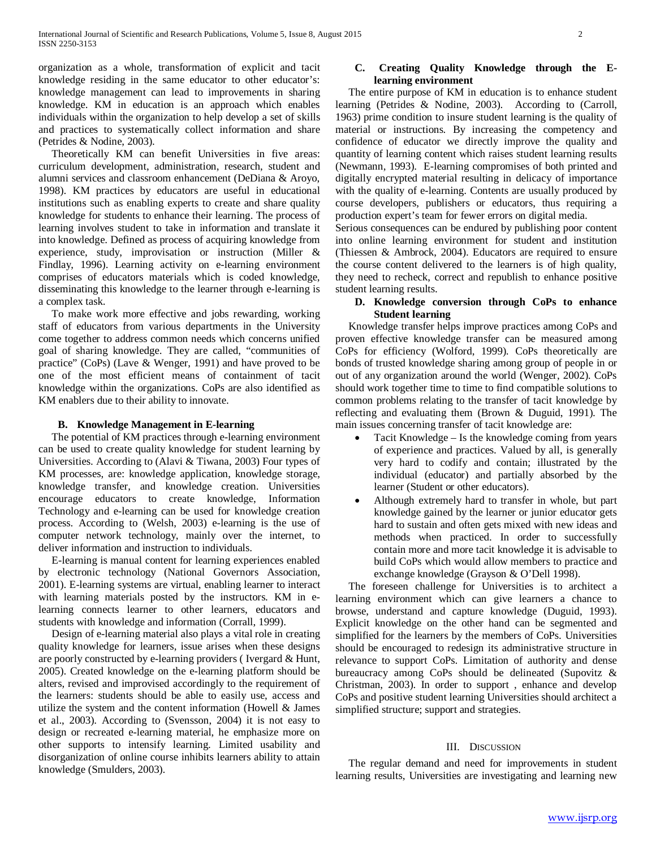organization as a whole, transformation of explicit and tacit knowledge residing in the same educator to other educator's: knowledge management can lead to improvements in sharing knowledge. KM in education is an approach which enables individuals within the organization to help develop a set of skills and practices to systematically collect information and share (Petrides & Nodine, 2003).

 Theoretically KM can benefit Universities in five areas: curriculum development, administration, research, student and alumni services and classroom enhancement (DeDiana & Aroyo, 1998). KM practices by educators are useful in educational institutions such as enabling experts to create and share quality knowledge for students to enhance their learning. The process of learning involves student to take in information and translate it into knowledge. Defined as process of acquiring knowledge from experience, study, improvisation or instruction (Miller & Findlay, 1996). Learning activity on e-learning environment comprises of educators materials which is coded knowledge, disseminating this knowledge to the learner through e-learning is a complex task.

 To make work more effective and jobs rewarding, working staff of educators from various departments in the University come together to address common needs which concerns unified goal of sharing knowledge. They are called, "communities of practice" (CoPs) (Lave & Wenger, 1991) and have proved to be one of the most efficient means of containment of tacit knowledge within the organizations. CoPs are also identified as KM enablers due to their ability to innovate.

### **B. Knowledge Management in E-learning**

 The potential of KM practices through e-learning environment can be used to create quality knowledge for student learning by Universities. According to (Alavi & Tiwana, 2003) Four types of KM processes, are: knowledge application, knowledge storage, knowledge transfer, and knowledge creation. Universities encourage educators to create knowledge, Information Technology and e-learning can be used for knowledge creation process. According to (Welsh, 2003) e-learning is the use of computer network technology, mainly over the internet, to deliver information and instruction to individuals.

 E-learning is manual content for learning experiences enabled by electronic technology (National Governors Association, 2001). E-learning systems are virtual, enabling learner to interact with learning materials posted by the instructors. KM in elearning connects learner to other learners, educators and students with knowledge and information (Corrall, 1999).

 Design of e-learning material also plays a vital role in creating quality knowledge for learners, issue arises when these designs are poorly constructed by e-learning providers ( Ivergard & Hunt, 2005). Created knowledge on the e-learning platform should be alters, revised and improvised accordingly to the requirement of the learners: students should be able to easily use, access and utilize the system and the content information (Howell & James et al., 2003). According to (Svensson, 2004) it is not easy to design or recreated e-learning material, he emphasize more on other supports to intensify learning. Limited usability and disorganization of online course inhibits learners ability to attain knowledge (Smulders, 2003).

## **C. Creating Quality Knowledge through the Elearning environment**

 The entire purpose of KM in education is to enhance student learning (Petrides & Nodine, 2003). According to (Carroll, 1963) prime condition to insure student learning is the quality of material or instructions. By increasing the competency and confidence of educator we directly improve the quality and quantity of learning content which raises student learning results (Newmann, 1993). E-learning compromises of both printed and digitally encrypted material resulting in delicacy of importance with the quality of e-learning. Contents are usually produced by course developers, publishers or educators, thus requiring a production expert's team for fewer errors on digital media.

Serious consequences can be endured by publishing poor content into online learning environment for student and institution (Thiessen & Ambrock, 2004). Educators are required to ensure the course content delivered to the learners is of high quality, they need to recheck, correct and republish to enhance positive student learning results.

## **D. Knowledge conversion through CoPs to enhance Student learning**

 Knowledge transfer helps improve practices among CoPs and proven effective knowledge transfer can be measured among CoPs for efficiency (Wolford, 1999). CoPs theoretically are bonds of trusted knowledge sharing among group of people in or out of any organization around the world (Wenger, 2002). CoPs should work together time to time to find compatible solutions to common problems relating to the transfer of tacit knowledge by reflecting and evaluating them (Brown & Duguid, 1991). The main issues concerning transfer of tacit knowledge are:

- Tacit Knowledge Is the knowledge coming from years of experience and practices. Valued by all, is generally very hard to codify and contain; illustrated by the individual (educator) and partially absorbed by the learner (Student or other educators).
- Although extremely hard to transfer in whole, but part knowledge gained by the learner or junior educator gets hard to sustain and often gets mixed with new ideas and methods when practiced. In order to successfully contain more and more tacit knowledge it is advisable to build CoPs which would allow members to practice and exchange knowledge (Grayson & O'Dell 1998).

 The foreseen challenge for Universities is to architect a learning environment which can give learners a chance to browse, understand and capture knowledge (Duguid, 1993). Explicit knowledge on the other hand can be segmented and simplified for the learners by the members of CoPs. Universities should be encouraged to redesign its administrative structure in relevance to support CoPs. Limitation of authority and dense bureaucracy among CoPs should be delineated (Supovitz & Christman, 2003). In order to support , enhance and develop CoPs and positive student learning Universities should architect a simplified structure; support and strategies.

## III. DISCUSSION

 The regular demand and need for improvements in student learning results, Universities are investigating and learning new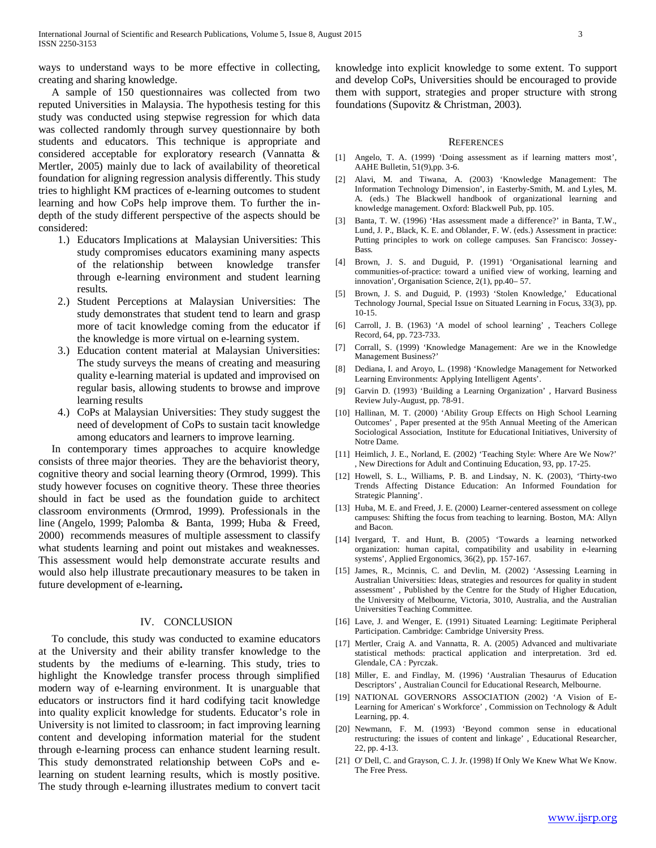ways to understand ways to be more effective in collecting, creating and sharing knowledge.

 A sample of 150 questionnaires was collected from two reputed Universities in Malaysia. The hypothesis testing for this study was conducted using stepwise regression for which data was collected randomly through survey questionnaire by both students and educators. This technique is appropriate and considered acceptable for exploratory research (Vannatta & Mertler, 2005) mainly due to lack of availability of theoretical foundation for aligning regression analysis differently. This study tries to highlight KM practices of e-learning outcomes to student learning and how CoPs help improve them. To further the indepth of the study different perspective of the aspects should be considered:

- 1.) Educators Implications at Malaysian Universities: This study compromises educators examining many aspects of the relationship between knowledge transfer through e-learning environment and student learning results.
- 2.) Student Perceptions at Malaysian Universities: The study demonstrates that student tend to learn and grasp more of tacit knowledge coming from the educator if the knowledge is more virtual on e-learning system.
- 3.) Education content material at Malaysian Universities: The study surveys the means of creating and measuring quality e-learning material is updated and improvised on regular basis, allowing students to browse and improve learning results
- 4.) CoPs at Malaysian Universities: They study suggest the need of development of CoPs to sustain tacit knowledge among educators and learners to improve learning.

 In contemporary times approaches to acquire knowledge consists of three major theories. They are the behaviorist theory, cognitive theory and social learning theory (Ormrod, 1999). This study however focuses on cognitive theory. These three theories should in fact be used as the foundation guide to architect classroom environments (Ormrod, 1999). Professionals in the line (Angelo, 1999; Palomba & Banta, 1999; Huba & Freed, 2000) recommends measures of multiple assessment to classify what students learning and point out mistakes and weaknesses. This assessment would help demonstrate accurate results and would also help illustrate precautionary measures to be taken in future development of e-learning**.**

#### IV. CONCLUSION

 To conclude, this study was conducted to examine educators at the University and their ability transfer knowledge to the students by the mediums of e-learning. This study, tries to highlight the Knowledge transfer process through simplified modern way of e-learning environment. It is unarguable that educators or instructors find it hard codifying tacit knowledge into quality explicit knowledge for students. Educator's role in University is not limited to classroom; in fact improving learning content and developing information material for the student through e-learning process can enhance student learning result. This study demonstrated relationship between CoPs and elearning on student learning results, which is mostly positive. The study through e-learning illustrates medium to convert tacit knowledge into explicit knowledge to some extent. To support and develop CoPs, Universities should be encouraged to provide them with support, strategies and proper structure with strong foundations (Supovitz & Christman, 2003).

#### **REFERENCES**

- [1] Angelo, T. A. (1999) 'Doing assessment as if learning matters most', AAHE Bulletin, 51(9),pp. 3-6.
- [2] Alavi, M. and Tiwana, A. (2003) 'Knowledge Management: The Information Technology Dimension', in Easterby-Smith, M. and Lyles, M. A. (eds.) The Blackwell handbook of organizational learning and knowledge management. Oxford: Blackwell Pub, pp. 105.
- [3] Banta, T. W. (1996) 'Has assessment made a difference?' in Banta, T.W., Lund, J. P., Black, K. E. and Oblander, F. W. (eds.) Assessment in practice: Putting principles to work on college campuses. San Francisco: Jossey-Bass.
- [4] Brown, J. S. and Duguid, P. (1991) 'Organisational learning and communities-of-practice: toward a unified view of working, learning and innovation', Organisation Science, 2(1), pp.40– 57.
- [5] Brown, J. S. and Duguid, P. (1993) 'Stolen Knowledge,' Educational Technology Journal, Special Issue on Situated Learning in Focus, 33(3), pp. 10-15.
- [6] Carroll, J. B. (1963) 'A model of school learning' , Teachers College Record, 64, pp. 723-733.
- [7] Corrall, S. (1999) 'Knowledge Management: Are we in the Knowledge Management Business?'
- [8] Dediana, I. and Aroyo, L. (1998) 'Knowledge Management for Networked Learning Environments: Applying Intelligent Agents'.
- [9] Garvin D. (1993) 'Building a Learning Organization' , Harvard Business Review July-August, pp. 78-91.
- [10] Hallinan, M. T. (2000) 'Ability Group Effects on High School Learning Outcomes' , Paper presented at the 95th Annual Meeting of the American Sociological Association, Institute for Educational Initiatives, University of Notre Dame.
- [11] Heimlich, J. E., Norland, E. (2002) 'Teaching Style: Where Are We Now?' , New Directions for Adult and Continuing Education, 93, pp. 17-25.
- [12] Howell, S. L., Williams, P. B. and Lindsay, N. K. (2003), 'Thirty-two Trends Affecting Distance Education: An Informed Foundation for Strategic Planning'.
- [13] Huba, M. E. and Freed, J. E. (2000) Learner-centered assessment on college campuses: Shifting the focus from teaching to learning. Boston, MA: Allyn and Bacon.
- [14] Ivergard, T. and Hunt, B. (2005) 'Towards a learning networked organization: human capital, compatibility and usability in e-learning systems', Applied Ergonomics, 36(2), pp. 157-167.
- [15] James, R., Mcinnis, C. and Devlin, M. (2002) 'Assessing Learning in Australian Universities: Ideas, strategies and resources for quality in student assessment' , Published by the Centre for the Study of Higher Education, the University of Melbourne, Victoria, 3010, Australia, and the Australian Universities Teaching Committee.
- [16] Lave, J. and Wenger, E. (1991) Situated Learning: Legitimate Peripheral Participation. Cambridge: Cambridge University Press.
- [17] Mertler, Craig A. and Vannatta, R. A. (2005) Advanced and multivariate statistical methods: practical application and interpretation. 3rd ed. Glendale, CA : Pyrczak.
- [18] Miller, E. and Findlay, M. (1996) 'Australian Thesaurus of Education Descriptors' , Australian Council for Educational Research, Melbourne.
- [19] NATIONAL GOVERNORS ASSOCIATION (2002) 'A Vision of E-Learning for American' s Workforce' , Commission on Technology & Adult Learning, pp. 4.
- [20] Newmann, F. M. (1993) 'Beyond common sense in educational restructuring: the issues of content and linkage' , Educational Researcher, 22, pp. 4-13.
- [21] O' Dell, C. and Grayson, C. J. Jr. (1998) If Only We Knew What We Know. The Free Press.